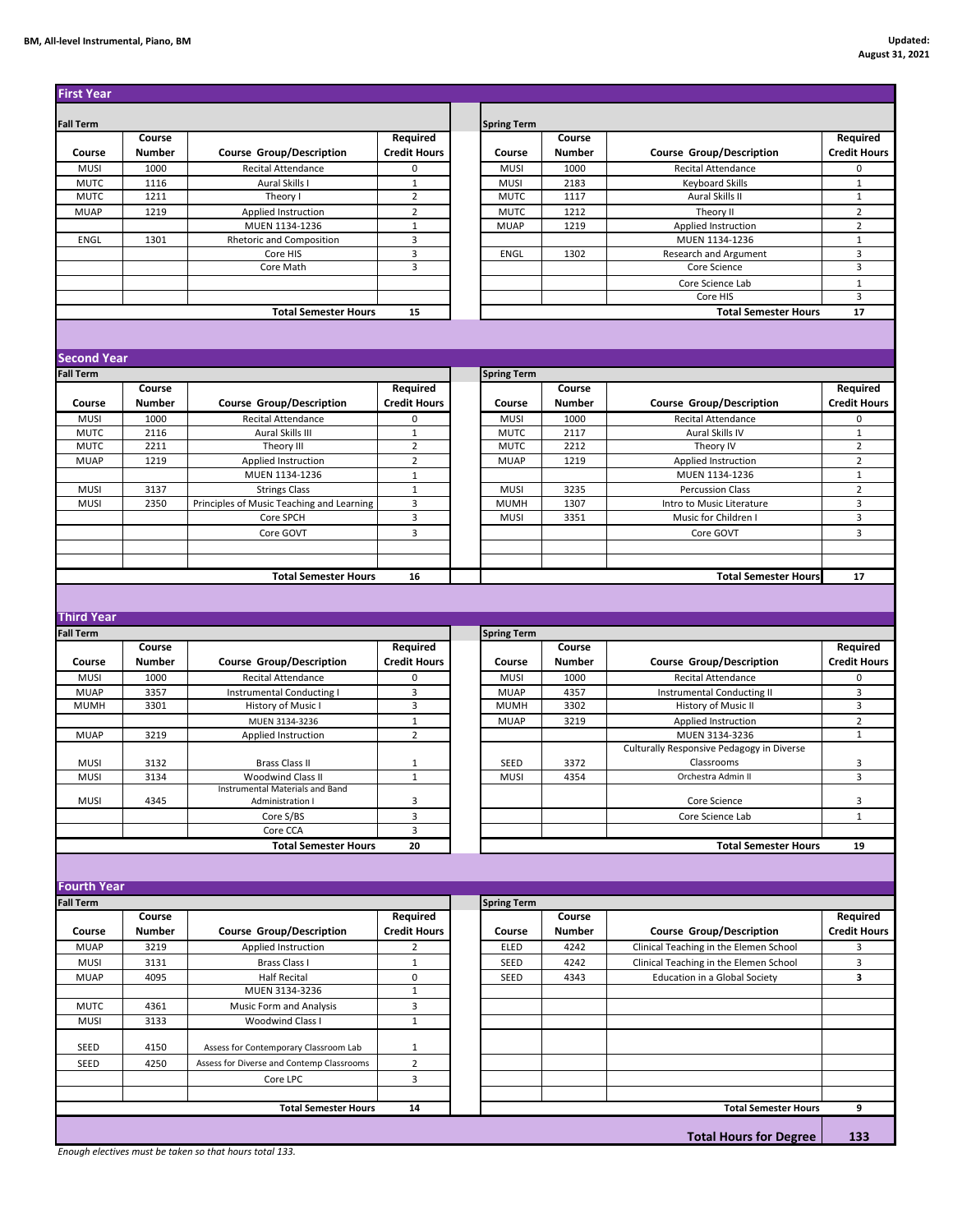| <b>First Year</b>          |               |                                           |                               |                            |               |                                           |                               |
|----------------------------|---------------|-------------------------------------------|-------------------------------|----------------------------|---------------|-------------------------------------------|-------------------------------|
| <b>Fall Term</b>           |               |                                           |                               | <b>Spring Term</b>         |               |                                           |                               |
|                            | Course        |                                           | Required                      |                            | Course        |                                           | <b>Required</b>               |
| Course                     | Number        | <b>Course Group/Description</b>           | <b>Credit Hours</b>           | Course                     | Number        | <b>Course Group/Description</b>           | <b>Credit Hours</b>           |
| <b>MUSI</b>                | 1000          | Recital Attendance                        | 0                             | <b>MUSI</b>                | 1000          | <b>Recital Attendance</b>                 | 0                             |
| <b>MUTC</b>                | 1116          | Aural Skills I                            | $1\,$                         | <b>MUSI</b>                | 2183          | <b>Keyboard Skills</b>                    | $\mathbf{1}$                  |
| <b>MUTC</b>                | 1211          | Theory I                                  | $\overline{2}$                | <b>MUTC</b>                | 1117          | Aural Skills II                           | $\mathbf 1$                   |
| <b>MUAP</b>                | 1219          | Applied Instruction                       | $\overline{2}$                | <b>MUTC</b>                | 1212          | Theory II                                 | $\overline{2}$                |
|                            |               | MUEN 1134-1236                            | $\mathbf 1$                   | <b>MUAP</b>                | 1219          | Applied Instruction                       | $\overline{2}$                |
| <b>ENGL</b>                | 1301          | Rhetoric and Composition                  | 3                             |                            |               | MUEN 1134-1236                            | $\mathbf 1$                   |
|                            |               | Core HIS                                  | 3                             | <b>ENGL</b>                | 1302          | Research and Argument                     | 3                             |
|                            |               | Core Math                                 | 3                             |                            |               | Core Science                              | 3                             |
|                            |               |                                           |                               |                            |               | Core Science Lab                          | $\mathbf 1$                   |
|                            |               |                                           |                               |                            |               | Core HIS                                  | 3                             |
|                            |               | <b>Total Semester Hours</b>               | 15                            |                            |               | <b>Total Semester Hours</b>               | 17                            |
|                            |               |                                           |                               |                            |               |                                           |                               |
| <b>Second Year</b>         |               |                                           |                               |                            |               |                                           |                               |
|                            |               |                                           |                               |                            |               |                                           |                               |
| <b>Fall Term</b>           | Course        |                                           | Required                      | <b>Spring Term</b>         | Course        |                                           | Required                      |
| Course                     | Number        |                                           | <b>Credit Hours</b>           | Course                     | Number        |                                           | <b>Credit Hours</b>           |
|                            |               | <b>Course Group/Description</b>           |                               |                            |               | <b>Course Group/Description</b>           |                               |
| <b>MUSI</b>                | 1000          | <b>Recital Attendance</b>                 | 0                             | <b>MUSI</b>                | 1000          | <b>Recital Attendance</b>                 | 0                             |
| <b>MUTC</b><br><b>MUTC</b> | 2116<br>2211  | Aural Skills III                          | $\mathbf 1$<br>$\overline{2}$ | <b>MUTC</b><br><b>MUTC</b> | 2117<br>2212  | Aural Skills IV                           | $\mathbf 1$<br>$\overline{2}$ |
| <b>MUAP</b>                | 1219          | Theory III<br>Applied Instruction         | $\overline{2}$                | <b>MUAP</b>                | 1219          | Theory IV<br>Applied Instruction          | $\overline{2}$                |
|                            |               | MUEN 1134-1236                            | $1\,$                         |                            |               | MUEN 1134-1236                            | $\mathbf 1$                   |
| <b>MUSI</b>                | 3137          | <b>Strings Class</b>                      | $\mathbf{1}$                  | <b>MUSI</b>                | 3235          | <b>Percussion Class</b>                   | $\overline{2}$                |
| MUSI                       | 2350          | Principles of Music Teaching and Learning | 3                             | <b>MUMH</b>                | 1307          | Intro to Music Literature                 | 3                             |
|                            |               | Core SPCH                                 | 3                             | <b>MUSI</b>                | 3351          | Music for Children I                      | 3                             |
|                            |               | Core GOVT                                 | 3                             |                            |               | Core GOVT                                 | 3                             |
|                            |               |                                           |                               |                            |               |                                           |                               |
|                            |               |                                           |                               |                            |               |                                           |                               |
|                            |               | <b>Total Semester Hours</b>               | 16                            |                            |               | <b>Total Semester Hours</b>               | 17                            |
|                            |               |                                           |                               |                            |               |                                           |                               |
|                            |               |                                           |                               |                            |               |                                           |                               |
| <b>Third Year</b>          |               |                                           |                               |                            |               |                                           |                               |
| <b>Fall Term</b>           |               |                                           |                               | <b>Spring Term</b>         |               |                                           |                               |
|                            | Course        |                                           | Required                      |                            | Course        |                                           | Required                      |
| Course                     | Number        | <b>Course Group/Description</b>           | <b>Credit Hours</b>           | Course                     | Number        | <b>Course Group/Description</b>           | <b>Credit Hours</b>           |
| <b>MUSI</b>                | 1000          | <b>Recital Attendance</b>                 | 0                             | <b>MUSI</b>                | 1000          | <b>Recital Attendance</b>                 | 0                             |
| <b>MUAP</b>                | 3357          | <b>Instrumental Conducting I</b>          | 3                             | <b>MUAP</b>                | 4357          | Instrumental Conducting II                | 3                             |
| <b>MUMH</b>                | 3301          | History of Music I                        | 3                             | <b>MUMH</b>                | 3302          | History of Music II                       | 3                             |
|                            |               | MUEN 3134-3236                            | $1\,$                         | <b>MUAP</b>                | 3219          | Applied Instruction                       | $\overline{2}$                |
| <b>MUAP</b>                | 3219          | Applied Instruction                       | $\overline{2}$                |                            |               | MUEN 3134-3236                            | $\mathbf 1$                   |
|                            |               |                                           |                               |                            |               | Culturally Responsive Pedagogy in Diverse |                               |
| <b>MUSI</b>                | 3132          | <b>Brass Class II</b>                     | $\mathbf{1}$                  | SEED                       | 3372          | Classrooms                                | 3                             |
| <b>MUSI</b>                | 3134          | Woodwind Class II                         | $\mathbf{1}$                  | <b>MUSI</b>                | 4354          | Orchestra Admin II                        | 3                             |
| MUSI                       |               | Instrumental Materials and Band           |                               |                            |               |                                           |                               |
|                            | 4345          | Administration I                          | 3                             |                            |               | Core Science                              | 3                             |
|                            |               | Core S/BS<br>Core CCA                     | 3<br>3                        |                            |               | Core Science Lab                          | $\mathbf{1}$                  |
|                            |               | <b>Total Semester Hours</b>               | 20                            |                            |               |                                           | 19                            |
|                            |               |                                           |                               |                            |               | <b>Total Semester Hours</b>               |                               |
|                            |               |                                           |                               |                            |               |                                           |                               |
| <b>Fourth Year</b>         |               |                                           |                               |                            |               |                                           |                               |
| <b>Fall Term</b>           |               |                                           |                               | <b>Spring Term</b>         |               |                                           |                               |
|                            | Course        |                                           | Required                      |                            | Course        |                                           | Required                      |
| Course                     | <b>Number</b> | <b>Course Group/Description</b>           | <b>Credit Hours</b>           | Course                     | <b>Number</b> | <b>Course Group/Description</b>           | <b>Credit Hours</b>           |
| <b>MUAP</b>                | 3219          | Applied Instruction                       | $\overline{2}$                | ELED                       | 4242          | Clinical Teaching in the Elemen School    | 3                             |
| <b>MUSI</b>                | 3131          | Brass Class I                             | $\mathbf{1}$                  | SEED                       | 4242          | Clinical Teaching in the Elemen School    | 3                             |
| <b>MUAP</b>                | 4095          | <b>Half Recital</b>                       | 0                             | SEED                       | 4343          |                                           | 3                             |
|                            |               |                                           |                               |                            |               | Education in a Global Society             |                               |
|                            |               |                                           |                               |                            |               |                                           |                               |
|                            |               | MUEN 3134-3236                            | $\mathbf 1$                   |                            |               |                                           |                               |
| <b>MUTC</b>                | 4361          | Music Form and Analysis                   | 3                             |                            |               |                                           |                               |
| MUSI                       | 3133          | <b>Woodwind Class I</b>                   | $\mathbf 1$                   |                            |               |                                           |                               |
|                            |               |                                           |                               |                            |               |                                           |                               |
| SEED                       | 4150          | Assess for Contemporary Classroom Lab     | $\mathbf{1}$                  |                            |               |                                           |                               |
| SEED                       | 4250          | Assess for Diverse and Contemp Classrooms | $\overline{2}$                |                            |               |                                           |                               |
|                            |               | Core LPC                                  | 3                             |                            |               |                                           |                               |
|                            |               |                                           |                               |                            |               |                                           |                               |
|                            |               | <b>Total Semester Hours</b>               | 14                            |                            |               | <b>Total Semester Hours</b>               | 9                             |

*Enough electives must be taken so that hours total 133.*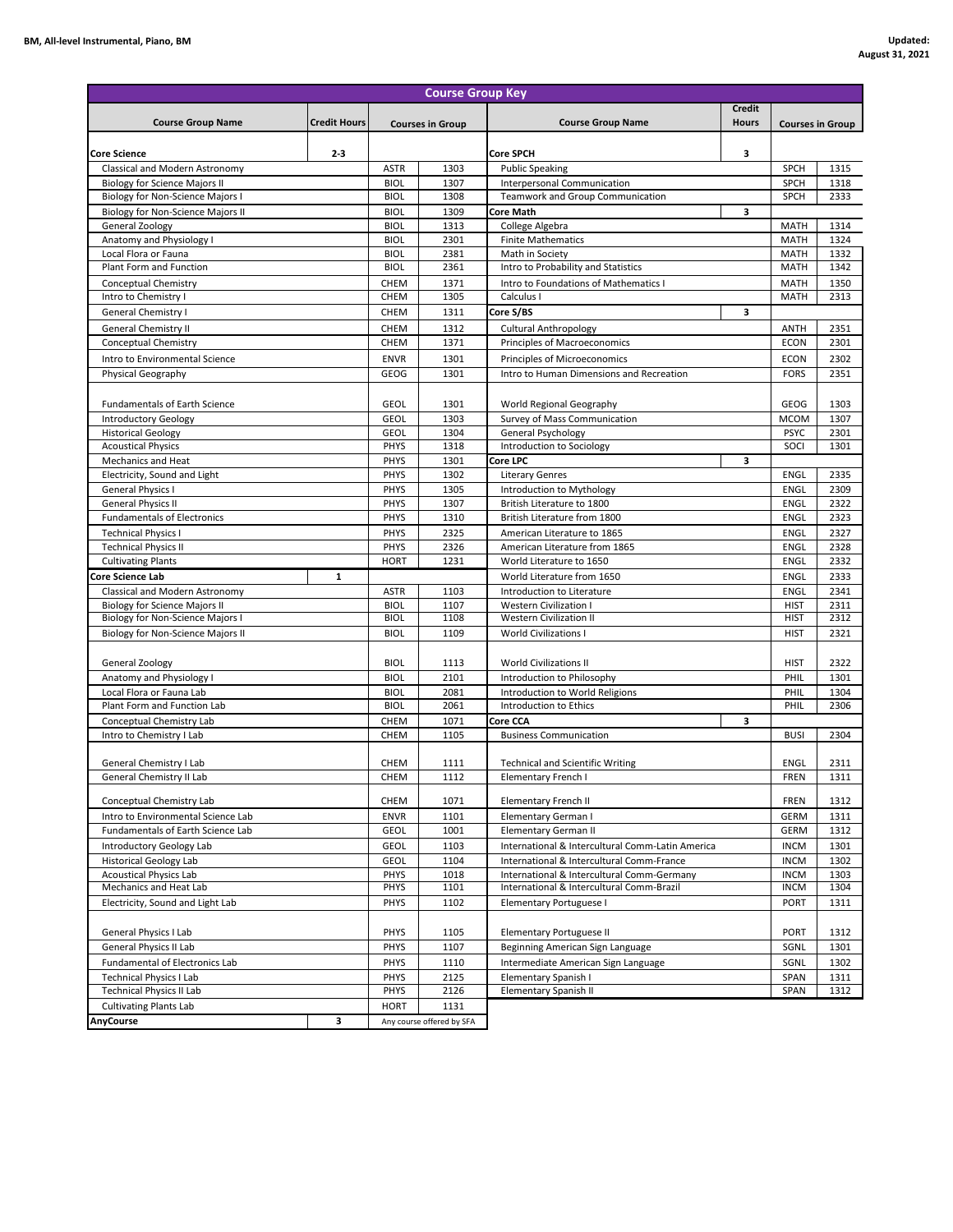|                                                                        |         |                            | <b>Course Group Key</b>   |                                                           |              |                     |                         |
|------------------------------------------------------------------------|---------|----------------------------|---------------------------|-----------------------------------------------------------|--------------|---------------------|-------------------------|
| <b>Credit Hours</b><br><b>Course Group Name</b>                        |         | <b>Courses in Group</b>    |                           |                                                           | Credit       |                     |                         |
|                                                                        |         |                            |                           | <b>Course Group Name</b>                                  | <b>Hours</b> |                     | <b>Courses in Group</b> |
|                                                                        |         |                            |                           |                                                           |              |                     |                         |
| Core Science                                                           | $2 - 3$ |                            |                           | <b>Core SPCH</b>                                          | з            |                     |                         |
| Classical and Modern Astronomy<br><b>Biology for Science Majors II</b> |         | <b>ASTR</b><br><b>BIOL</b> | 1303<br>1307              | <b>Public Speaking</b><br>Interpersonal Communication     |              | SPCH<br>SPCH        | 1315<br>1318            |
| Biology for Non-Science Majors I                                       |         | <b>BIOL</b>                | 1308                      | <b>Teamwork and Group Communication</b>                   |              | <b>SPCH</b>         | 2333                    |
| Biology for Non-Science Majors II                                      |         | <b>BIOL</b>                | 1309                      | Core Math                                                 | з            |                     |                         |
| General Zoology                                                        |         | <b>BIOL</b>                | 1313                      | College Algebra                                           |              | <b>MATH</b>         | 1314                    |
| Anatomy and Physiology I                                               |         | <b>BIOL</b>                | 2301                      | <b>Finite Mathematics</b>                                 |              | MATH                | 1324                    |
| Local Flora or Fauna                                                   |         | <b>BIOL</b>                | 2381                      | Math in Society                                           |              | MATH                | 1332                    |
| Plant Form and Function                                                |         | <b>BIOL</b>                | 2361                      | Intro to Probability and Statistics                       |              | <b>MATH</b>         | 1342                    |
| Conceptual Chemistry                                                   |         | CHEM                       | 1371                      | Intro to Foundations of Mathematics I                     |              | MATH                | 1350                    |
| Intro to Chemistry I                                                   |         | CHEM                       | 1305                      | Calculus I                                                |              | <b>MATH</b>         | 2313                    |
| General Chemistry I                                                    |         | CHEM                       | 1311                      | Core S/BS                                                 | 3            |                     |                         |
| General Chemistry II                                                   |         | CHEM                       | 1312                      | <b>Cultural Anthropology</b>                              |              | <b>ANTH</b>         | 2351                    |
| Conceptual Chemistry                                                   |         | CHEM                       | 1371                      | Principles of Macroeconomics                              |              | <b>ECON</b>         | 2301                    |
| Intro to Environmental Science                                         |         | <b>ENVR</b>                | 1301                      | Principles of Microeconomics                              |              | <b>ECON</b>         | 2302                    |
| Physical Geography                                                     |         | GEOG                       | 1301                      | Intro to Human Dimensions and Recreation                  |              | <b>FORS</b>         | 2351                    |
|                                                                        |         |                            |                           |                                                           |              |                     |                         |
| <b>Fundamentals of Earth Science</b>                                   |         | <b>GEOL</b>                | 1301                      | World Regional Geography                                  |              | GEOG                | 1303                    |
| <b>Introductory Geology</b>                                            |         | <b>GEOL</b>                | 1303                      | Survey of Mass Communication                              |              | <b>MCOM</b>         | 1307                    |
| <b>Historical Geology</b>                                              |         | <b>GEOL</b>                | 1304                      | General Psychology                                        |              | <b>PSYC</b>         | 2301                    |
| <b>Acoustical Physics</b>                                              |         | PHYS                       | 1318                      | Introduction to Sociology                                 |              | SOCI                | 1301                    |
| <b>Mechanics and Heat</b>                                              |         | PHYS                       | 1301                      | Core LPC                                                  | з            |                     |                         |
| Electricity, Sound and Light                                           |         | PHYS                       | 1302                      | <b>Literary Genres</b>                                    |              | ENGL                | 2335                    |
| <b>General Physics I</b>                                               |         | PHYS                       | 1305                      | Introduction to Mythology                                 |              | ENGL                | 2309                    |
| <b>General Physics II</b>                                              |         | PHYS                       | 1307                      | British Literature to 1800                                |              | ENGL                | 2322                    |
| <b>Fundamentals of Electronics</b>                                     |         | PHYS                       | 1310                      | British Literature from 1800                              |              | ENGL                | 2323                    |
| <b>Technical Physics I</b>                                             |         | PHYS                       | 2325                      | American Literature to 1865                               |              | ENGL                | 2327                    |
| <b>Technical Physics II</b><br><b>Cultivating Plants</b>               |         | PHYS<br><b>HORT</b>        | 2326<br>1231              | American Literature from 1865<br>World Literature to 1650 |              | ENGL<br><b>ENGL</b> | 2328<br>2332            |
| Core Science Lab                                                       | 1       |                            |                           | World Literature from 1650                                |              | <b>ENGL</b>         | 2333                    |
| Classical and Modern Astronomy                                         |         | <b>ASTR</b>                | 1103                      | Introduction to Literature                                |              | <b>ENGL</b>         | 2341                    |
| <b>Biology for Science Majors II</b>                                   |         | <b>BIOL</b>                | 1107                      | Western Civilization I                                    |              | <b>HIST</b>         | 2311                    |
| Biology for Non-Science Majors I                                       |         | <b>BIOL</b>                | 1108                      | <b>Western Civilization II</b>                            |              | <b>HIST</b>         | 2312                    |
| Biology for Non-Science Majors II                                      |         | <b>BIOL</b>                | 1109                      | <b>World Civilizations I</b>                              |              | <b>HIST</b>         | 2321                    |
|                                                                        |         |                            |                           |                                                           |              |                     |                         |
| General Zoology                                                        |         | <b>BIOL</b>                | 1113                      | <b>World Civilizations II</b>                             |              | <b>HIST</b>         | 2322                    |
| Anatomy and Physiology I                                               |         | <b>BIOL</b>                | 2101                      | Introduction to Philosophy                                |              | PHIL                | 1301                    |
| Local Flora or Fauna Lab                                               |         | <b>BIOL</b>                | 2081                      | Introduction to World Religions                           |              | PHIL                | 1304                    |
| Plant Form and Function Lab                                            |         | <b>BIOL</b>                | 2061                      | Introduction to Ethics                                    |              | PHIL                | 2306                    |
| Conceptual Chemistry Lab                                               |         | CHEM                       | 1071                      | Core CCA                                                  | з            |                     |                         |
| Intro to Chemistry I Lab                                               |         | <b>CHEM</b>                | 1105                      | <b>Business Communication</b>                             |              | <b>BUSI</b>         | 2304                    |
|                                                                        |         |                            |                           |                                                           |              |                     |                         |
| General Chemistry I Lab                                                |         | <b>CHEM</b>                | 1111                      | <b>Technical and Scientific Writing</b>                   |              | ENGL                | 2311                    |
| General Chemistry II Lab                                               |         | <b>CHEM</b>                | 1112                      | Elementary French I                                       |              | <b>FREN</b>         | 1311                    |
| Conceptual Chemistry Lab                                               |         | CHEM                       | 1071                      | <b>Elementary French II</b>                               |              | FREN                | 1312                    |
| Intro to Environmental Science Lab                                     |         | <b>ENVR</b>                | 1101                      | Elementary German I                                       |              | <b>GERM</b>         | 1311                    |
| Fundamentals of Earth Science Lab                                      |         | GEOL                       | 1001                      | Elementary German II                                      |              | <b>GERM</b>         | 1312                    |
| Introductory Geology Lab                                               |         | <b>GEOL</b>                | 1103                      | International & Intercultural Comm-Latin America          |              | <b>INCM</b>         | 1301                    |
| <b>Historical Geology Lab</b>                                          |         | GEOL                       | 1104                      | International & Intercultural Comm-France                 |              | <b>INCM</b>         | 1302                    |
| <b>Acoustical Physics Lab</b>                                          |         | PHYS                       | 1018                      | International & Intercultural Comm-Germany                |              | <b>INCM</b>         | 1303                    |
| Mechanics and Heat Lab                                                 |         | PHYS                       | 1101                      | International & Intercultural Comm-Brazil                 |              | <b>INCM</b>         | 1304                    |
| Electricity, Sound and Light Lab                                       |         | PHYS                       | 1102                      | Elementary Portuguese I                                   |              | <b>PORT</b>         | 1311                    |
|                                                                        |         |                            |                           |                                                           |              |                     |                         |
| General Physics I Lab                                                  |         | <b>PHYS</b>                | 1105                      | Elementary Portuguese II                                  |              | <b>PORT</b>         | 1312                    |
| General Physics II Lab                                                 |         | PHYS                       | 1107                      | Beginning American Sign Language                          |              | SGNL                | 1301                    |
| Fundamental of Electronics Lab                                         |         | PHYS                       | 1110                      | Intermediate American Sign Language                       |              | SGNL                | 1302                    |
| <b>Technical Physics I Lab</b>                                         |         | PHYS                       | 2125                      | Elementary Spanish I                                      |              | SPAN                | 1311                    |
| <b>Technical Physics II Lab</b>                                        |         | PHYS                       | 2126                      | Elementary Spanish II                                     |              | SPAN                | 1312                    |
| <b>Cultivating Plants Lab</b>                                          |         | <b>HORT</b>                | 1131                      |                                                           |              |                     |                         |
| <b>AnyCourse</b>                                                       | з       |                            | Any course offered by SFA |                                                           |              |                     |                         |